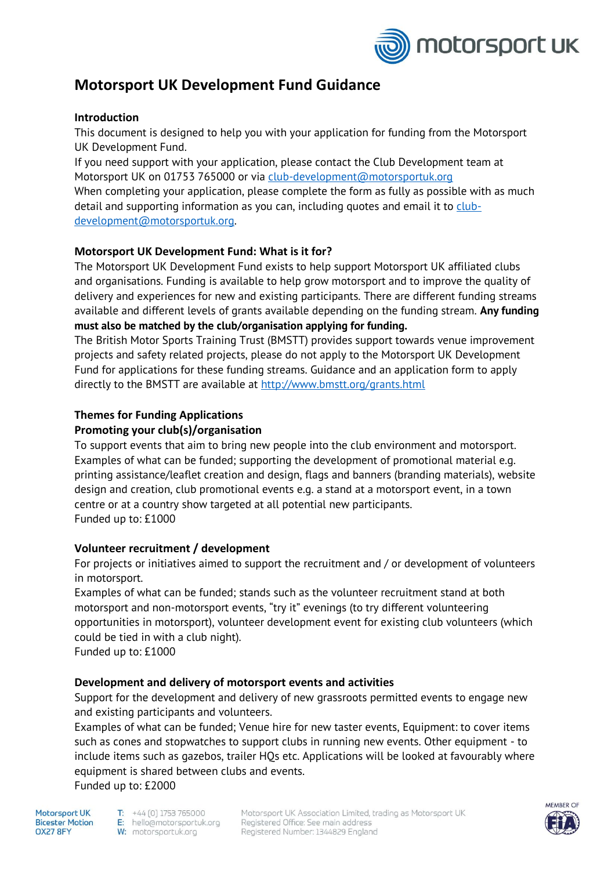

# **Motorsport UK Development Fund Guidance**

# **Introduction**

This document is designed to help you with your application for funding from the Motorsport UK Development Fund.

If you need support with your application, please contact the Club Development team at Motorsport UK on 01753 765000 or via [club-development@motorsportuk.org](mailto:club-development@motorsportuk.org) When completing your application, please complete the form as fully as possible with as much detail and supporting information as you can, including quotes and email it to  $\frac{lub}{r}$ [development@motorsportuk.org.](mailto:club-development@motorsportuk.org)

# **Motorsport UK Development Fund: What is it for?**

The Motorsport UK Development Fund exists to help support Motorsport UK affiliated clubs and organisations. Funding is available to help grow motorsport and to improve the quality of delivery and experiences for new and existing participants. There are different funding streams available and different levels of grants available depending on the funding stream. **Any funding must also be matched by the club/organisation applying for funding.**

The British Motor Sports Training Trust (BMSTT) provides support towards venue improvement projects and safety related projects, please do not apply to the Motorsport UK Development Fund for applications for these funding streams. Guidance and an application form to apply directly to the BMSTT are available at<http://www.bmstt.org/grants.html>

# **Themes for Funding Applications**

# **Promoting your club(s)/organisation**

To support events that aim to bring new people into the club environment and motorsport. Examples of what can be funded; supporting the development of promotional material e.g. printing assistance/leaflet creation and design, flags and banners (branding materials), website design and creation, club promotional events e.g. a stand at a motorsport event, in a town centre or at a country show targeted at all potential new participants. Funded up to: £1000

## **Volunteer recruitment / development**

For projects or initiatives aimed to support the recruitment and / or development of volunteers in motorsport.

Examples of what can be funded; stands such as the volunteer recruitment stand at both motorsport and non-motorsport events, "try it" evenings (to try different volunteering opportunities in motorsport), volunteer development event for existing club volunteers (which could be tied in with a club night).

Funded up to: £1000

## **Development and delivery of motorsport events and activities**

Support for the development and delivery of new grassroots permitted events to engage new and existing participants and volunteers.

Examples of what can be funded; Venue hire for new taster events, Equipment: to cover items such as cones and stopwatches to support clubs in running new events. Other equipment - to include items such as gazebos, trailer HQs etc. Applications will be looked at favourably where equipment is shared between clubs and events. Funded up to: £2000

Motorsoort UK **Bicester Motion OX27 8FY** 

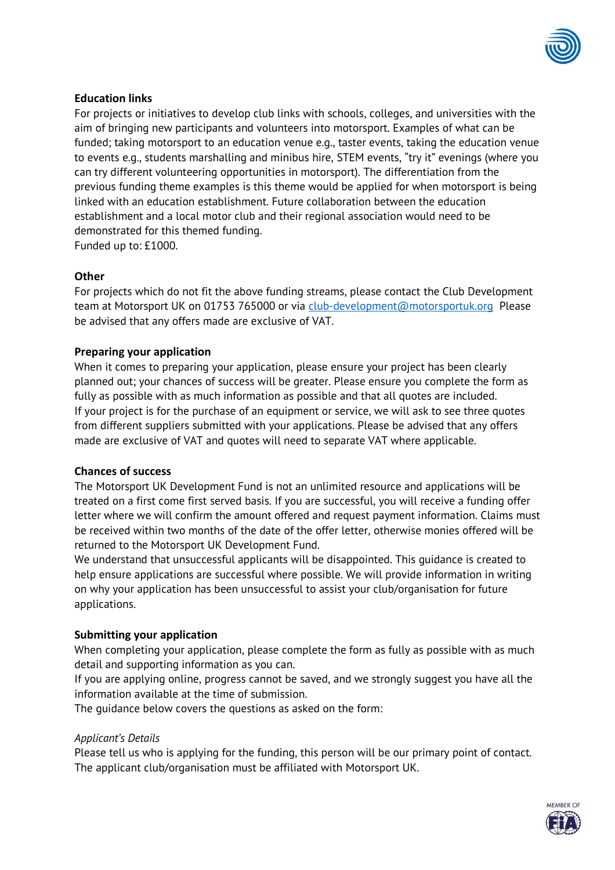

# **Education links**

For projects or initiatives to develop club links with schools, colleges, and universities with the aim of bringing new participants and volunteers into motorsport. Examples of what can be funded; taking motorsport to an education venue e.g., taster events, taking the education venue to events e.g., students marshalling and minibus hire, STEM events, "try it" evenings (where you can try different volunteering opportunities in motorsport). The differentiation from the previous funding theme examples is this theme would be applied for when motorsport is being linked with an education establishment. Future collaboration between the education establishment and a local motor club and their regional association would need to be demonstrated for this themed funding. Funded up to: £1000.

**Other**

For projects which do not fit the above funding streams, please contact the Club Development team at Motorsport UK on 01753 765000 or via [club-development@motorsportuk.org](mailto:club-development@motorsportuk.org) Please be advised that any offers made are exclusive of VAT.

## **Preparing your application**

When it comes to preparing your application, please ensure your project has been clearly planned out; your chances of success will be greater. Please ensure you complete the form as fully as possible with as much information as possible and that all quotes are included. If your project is for the purchase of an equipment or service, we will ask to see three quotes from different suppliers submitted with your applications. Please be advised that any offers made are exclusive of VAT and quotes will need to separate VAT where applicable.

#### **Chances of success**

The Motorsport UK Development Fund is not an unlimited resource and applications will be treated on a first come first served basis. If you are successful, you will receive a funding offer letter where we will confirm the amount offered and request payment information. Claims must be received within two months of the date of the offer letter, otherwise monies offered will be returned to the Motorsport UK Development Fund.

We understand that unsuccessful applicants will be disappointed. This guidance is created to help ensure applications are successful where possible. We will provide information in writing on why your application has been unsuccessful to assist your club/organisation for future applications.

## **Submitting your application**

When completing your application, please complete the form as fully as possible with as much detail and supporting information as you can.

If you are applying online, progress cannot be saved, and we strongly suggest you have all the information available at the time of submission.

The guidance below covers the questions as asked on the form:

#### *Applicant's Details*

Please tell us who is applying for the funding, this person will be our primary point of contact. The applicant club/organisation must be affiliated with Motorsport UK.

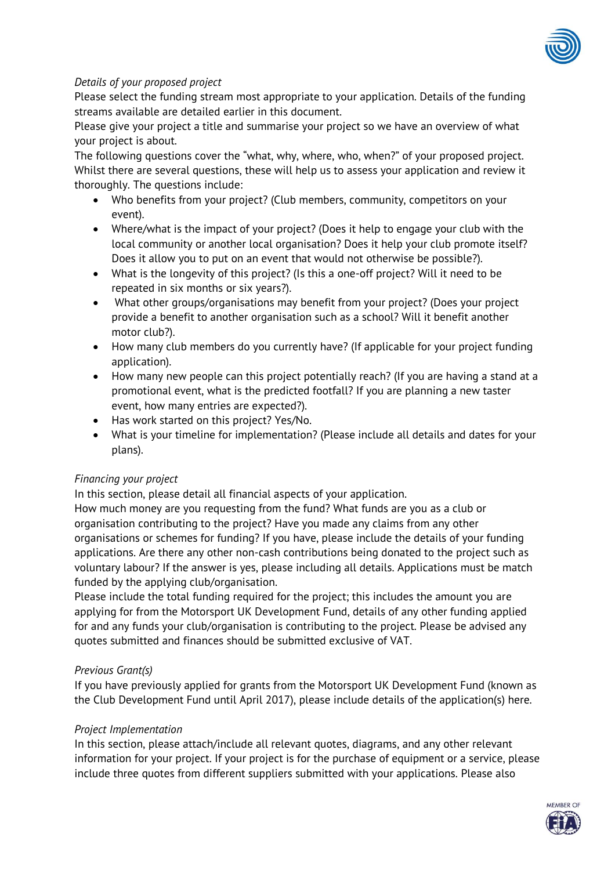

# *Details of your proposed project*

Please select the funding stream most appropriate to your application. Details of the funding streams available are detailed earlier in this document.

Please give your project a title and summarise your project so we have an overview of what your project is about.

The following questions cover the "what, why, where, who, when?" of your proposed project. Whilst there are several questions, these will help us to assess your application and review it thoroughly. The questions include:

- Who benefits from your project? (Club members, community, competitors on your event).
- Where/what is the impact of your project? (Does it help to engage your club with the local community or another local organisation? Does it help your club promote itself? Does it allow you to put on an event that would not otherwise be possible?).
- What is the longevity of this project? (Is this a one-off project? Will it need to be repeated in six months or six years?).
- What other groups/organisations may benefit from your project? (Does your project provide a benefit to another organisation such as a school? Will it benefit another motor club?).
- How many club members do you currently have? (If applicable for your project funding application).
- How many new people can this project potentially reach? (If you are having a stand at a promotional event, what is the predicted footfall? If you are planning a new taster event, how many entries are expected?).
- Has work started on this project? Yes/No.
- What is your timeline for implementation? (Please include all details and dates for your plans).

## *Financing your project*

In this section, please detail all financial aspects of your application.

How much money are you requesting from the fund? What funds are you as a club or organisation contributing to the project? Have you made any claims from any other organisations or schemes for funding? If you have, please include the details of your funding applications. Are there any other non-cash contributions being donated to the project such as voluntary labour? If the answer is yes, please including all details. Applications must be match funded by the applying club/organisation.

Please include the total funding required for the project; this includes the amount you are applying for from the Motorsport UK Development Fund, details of any other funding applied for and any funds your club/organisation is contributing to the project. Please be advised any quotes submitted and finances should be submitted exclusive of VAT.

# *Previous Grant(s)*

If you have previously applied for grants from the Motorsport UK Development Fund (known as the Club Development Fund until April 2017), please include details of the application(s) here.

## *Project Implementation*

In this section, please attach/include all relevant quotes, diagrams, and any other relevant information for your project. If your project is for the purchase of equipment or a service, please include three quotes from different suppliers submitted with your applications. Please also